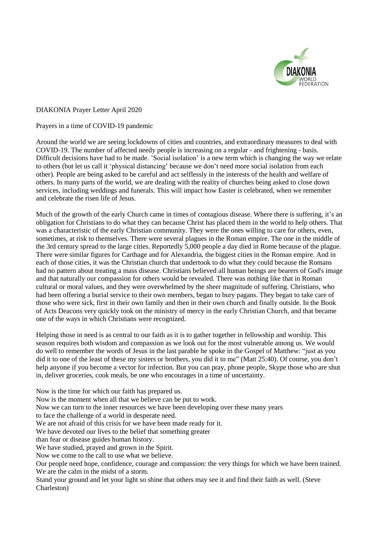

DIAKONIA Prayer Letter April 2020

Prayers in a time of COVID-19 pandemic

Around the world we are seeing lockdowns of cities and countries, and extraordinary measures to deal with COVID-19. The number of affected needy people is increasing on a regular - and frightening - basis. Difficult decisions have had to be made. 'Social isolation' is a new term which is changing the way we relate to others (but let us call it 'physical distancing' because we don't need more social isolation from each other). People are being asked to be careful and act selflessly in the interests of the health and welfare of others. In many parts of the world, we are dealing with the reality of churches being asked to close down services, including weddings and funerals. This will impact how Easter is celebrated, when we remember and celebrate the risen life of Jesus.

Much of the growth of the early Church came in times of contagious disease. Where there is suffering, it's an obligation for Christians to do what they can because Christ has placed them in the world to help others. That was a characteristic of the early Christian community. They were the ones willing to care for others, even, sometimes, at risk to themselves. There were several plagues in the Roman empire. The one in the middle of the 3rd century spread to the large cities. Reportedly 5,000 people a day died in Rome because of the plague. There were similar figures for Carthage and for Alexandria, the biggest cities in the Roman empire. And in each of those cities, it was the Christian church that undertook to do what they could because the Romans had no pattern about treating a mass disease. Christians believed all human beings are bearers of God's image and that naturally our compassion for others would be revealed. There was nothing like that in Roman cultural or moral values, and they were overwhelmed by the sheer magnitude of suffering. Christians, who had been offering a burial service to their own members, began to bury pagans. They began to take care of those who were sick, first in their own family and then in their own church and finally outside. In the Book of Acts Deacons very quickly took on the ministry of mercy in the early Christian Church, and that became one of the ways in which Christians were recognized.

Helping those in need is as central to our faith as it is to gather together in fellowship and worship. This season requires both wisdom and compassion as we look out for the most vulnerable among us. We would do well to remember the words of Jesus in the last parable he spoke in the Gospel of Matthew: "just as you did it to one of the least of these my sisters or brothers, you did it to me" (Matt 25:40). Of course, you don't help anyone if you become a vector for infection. But you can pray, phone people, Skype those who are shut in, deliver groceries, cook meals, be one who encourages in a time of uncertainty.

Now is the time for which our faith has prepared us. Now is the moment when all that we believe can be put to work. Now we can turn to the inner resources we have been developing over these many years to face the challenge of a world in desperate need. We are not afraid of this crisis for we have been made ready for it. We have devoted our lives to the belief that something greater than fear or disease guides human history. We have studied, prayed and grown in the Spirit. Now we come to the call to use what we believe. Our people need hope, confidence, courage and compassion: the very things for which we have been trained. We are the calm in the midst of a storm.

Stand your ground and let your light so shine that others may see it and find their faith as well. (Steve Charleston)